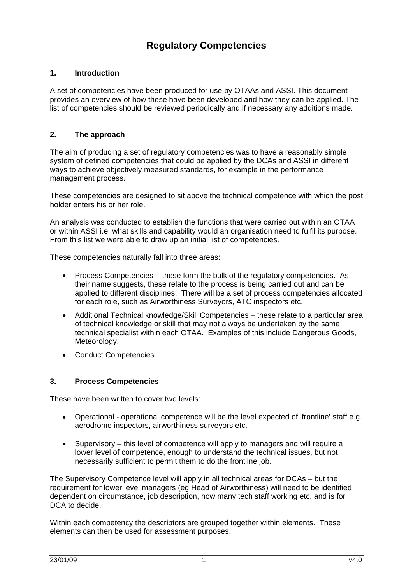# **Regulatory Competencies**

## **1. Introduction**

A set of competencies have been produced for use by OTAAs and ASSI. This document provides an overview of how these have been developed and how they can be applied. The list of competencies should be reviewed periodically and if necessary any additions made.

#### **2. The approach**

The aim of producing a set of regulatory competencies was to have a reasonably simple system of defined competencies that could be applied by the DCAs and ASSI in different ways to achieve objectively measured standards, for example in the performance management process.

These competencies are designed to sit above the technical competence with which the post holder enters his or her role.

An analysis was conducted to establish the functions that were carried out within an OTAA or within ASSI i.e. what skills and capability would an organisation need to fulfil its purpose. From this list we were able to draw up an initial list of competencies.

These competencies naturally fall into three areas:

- Process Competencies these form the bulk of the regulatory competencies. As their name suggests, these relate to the process is being carried out and can be applied to different disciplines. There will be a set of process competencies allocated for each role, such as Airworthiness Surveyors, ATC inspectors etc.
- Additional Technical knowledge/Skill Competencies these relate to a particular area of technical knowledge or skill that may not always be undertaken by the same technical specialist within each OTAA. Examples of this include Dangerous Goods, Meteorology.
- Conduct Competencies.

### **3. Process Competencies**

These have been written to cover two levels:

- Operational operational competence will be the level expected of 'frontline' staff e.g. aerodrome inspectors, airworthiness surveyors etc.
- Supervisory this level of competence will apply to managers and will require a lower level of competence, enough to understand the technical issues, but not necessarily sufficient to permit them to do the frontline job.

The Supervisory Competence level will apply in all technical areas for DCAs – but the requirement for lower level managers (eg Head of Airworthiness) will need to be identified dependent on circumstance, job description, how many tech staff working etc, and is for DCA to decide.

Within each competency the descriptors are grouped together within elements. These elements can then be used for assessment purposes.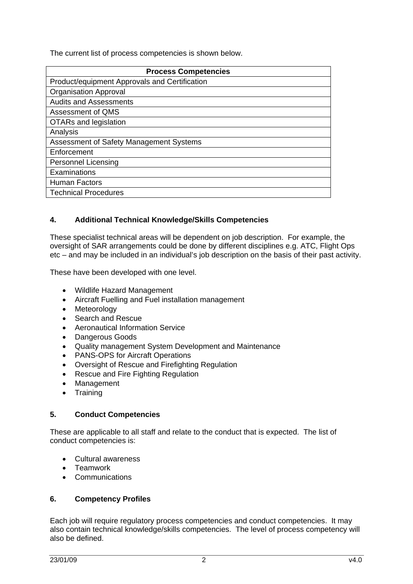The current list of process competencies is shown below.

| <b>Process Competencies</b>                   |
|-----------------------------------------------|
| Product/equipment Approvals and Certification |
| <b>Organisation Approval</b>                  |
| <b>Audits and Assessments</b>                 |
| Assessment of QMS                             |
| OTARs and legislation                         |
| Analysis                                      |
| Assessment of Safety Management Systems       |
| Enforcement                                   |
| <b>Personnel Licensing</b>                    |
| Examinations                                  |
| <b>Human Factors</b>                          |
| <b>Technical Procedures</b>                   |

### **4. Additional Technical Knowledge/Skills Competencies**

These specialist technical areas will be dependent on job description. For example, the oversight of SAR arrangements could be done by different disciplines e.g. ATC, Flight Ops etc – and may be included in an individual's job description on the basis of their past activity.

These have been developed with one level.

- Wildlife Hazard Management
- Aircraft Fuelling and Fuel installation management
- Meteorology
- Search and Rescue
- Aeronautical Information Service
- Dangerous Goods
- Quality management System Development and Maintenance
- PANS-OPS for Aircraft Operations
- Oversight of Rescue and Firefighting Regulation
- Rescue and Fire Fighting Regulation
- Management
- Training

#### **5. Conduct Competencies**

These are applicable to all staff and relate to the conduct that is expected. The list of conduct competencies is:

- Cultural awareness
- Teamwork
- Communications

#### **6. Competency Profiles**

Each job will require regulatory process competencies and conduct competencies. It may also contain technical knowledge/skills competencies. The level of process competency will also be defined.